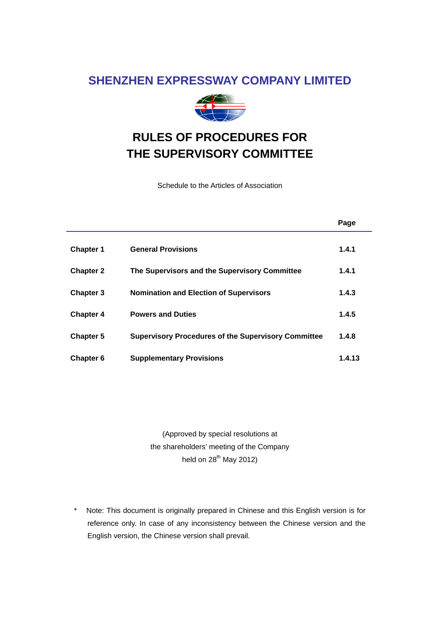# **SHENZHEN EXPRESSWAY COMPANY LIMITED**



# **RULES OF PROCEDURES FOR THE SUPERVISORY COMMITTEE**

Schedule to the Articles of Association

|                  |                                                            | Page   |
|------------------|------------------------------------------------------------|--------|
| <b>Chapter 1</b> | <b>General Provisions</b>                                  | 1.4.1  |
| <b>Chapter 2</b> | The Supervisors and the Supervisory Committee              | 1.4.1  |
| <b>Chapter 3</b> | <b>Nomination and Election of Supervisors</b>              | 1.4.3  |
| <b>Chapter 4</b> | <b>Powers and Duties</b>                                   | 1.4.5  |
| <b>Chapter 5</b> | <b>Supervisory Procedures of the Supervisory Committee</b> | 1.4.8  |
| <b>Chapter 6</b> | <b>Supplementary Provisions</b>                            | 1.4.13 |

(Approved by special resolutions at the shareholders' meeting of the Company held on  $28^{th}$  May 2012)

\* Note: This document is originally prepared in Chinese and this English version is for reference only. In case of any inconsistency between the Chinese version and the English version, the Chinese version shall prevail.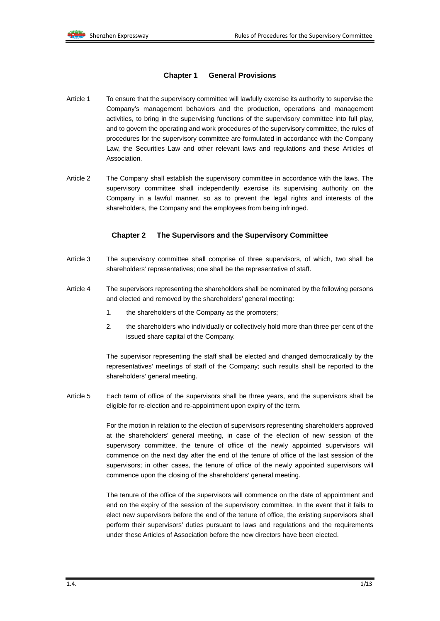### **Chapter 1 General Provisions**

- Article 1 To ensure that the supervisory committee will lawfully exercise its authority to supervise the Company's management behaviors and the production, operations and management activities, to bring in the supervising functions of the supervisory committee into full play, and to govern the operating and work procedures of the supervisory committee, the rules of procedures for the supervisory committee are formulated in accordance with the Company Law, the Securities Law and other relevant laws and regulations and these Articles of Association.
- Article 2 The Company shall establish the supervisory committee in accordance with the laws. The supervisory committee shall independently exercise its supervising authority on the Company in a lawful manner, so as to prevent the legal rights and interests of the shareholders, the Company and the employees from being infringed.

# **Chapter 2 The Supervisors and the Supervisory Committee**

- Article 3 The supervisory committee shall comprise of three supervisors, of which, two shall be shareholders' representatives; one shall be the representative of staff.
- Article 4 The supervisors representing the shareholders shall be nominated by the following persons and elected and removed by the shareholders' general meeting:
	- 1. the shareholders of the Company as the promoters;
	- 2. the shareholders who individually or collectively hold more than three per cent of the issued share capital of the Company.

The supervisor representing the staff shall be elected and changed democratically by the representatives' meetings of staff of the Company; such results shall be reported to the shareholders' general meeting.

Article 5 Each term of office of the supervisors shall be three years, and the supervisors shall be eligible for re-election and re-appointment upon expiry of the term.

> For the motion in relation to the election of supervisors representing shareholders approved at the shareholders' general meeting, in case of the election of new session of the supervisory committee, the tenure of office of the newly appointed supervisors will commence on the next day after the end of the tenure of office of the last session of the supervisors; in other cases, the tenure of office of the newly appointed supervisors will commence upon the closing of the shareholders' general meeting.

> The tenure of the office of the supervisors will commence on the date of appointment and end on the expiry of the session of the supervisory committee. In the event that it fails to elect new supervisors before the end of the tenure of office, the existing supervisors shall perform their supervisors' duties pursuant to laws and regulations and the requirements under these Articles of Association before the new directors have been elected.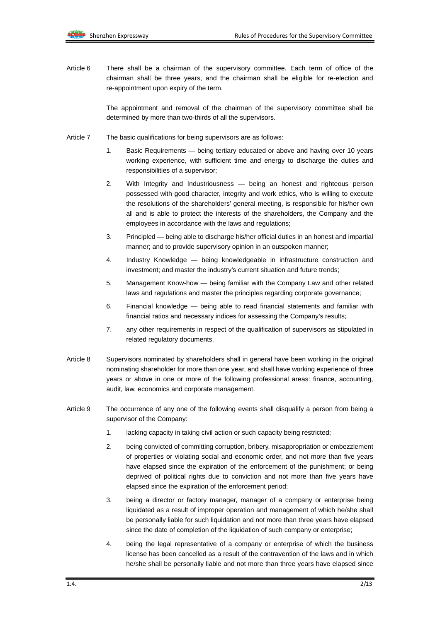Article 6 There shall be a chairman of the supervisory committee. Each term of office of the chairman shall be three years, and the chairman shall be eligible for re-election and re-appointment upon expiry of the term.

> The appointment and removal of the chairman of the supervisory committee shall be determined by more than two-thirds of all the supervisors.

- Article 7 The basic qualifications for being supervisors are as follows:
	- 1. Basic Requirements being tertiary educated or above and having over 10 years working experience, with sufficient time and energy to discharge the duties and responsibilities of a supervisor;
	- 2. With Integrity and Industriousness being an honest and righteous person possessed with good character, integrity and work ethics, who is willing to execute the resolutions of the shareholders' general meeting, is responsible for his/her own all and is able to protect the interests of the shareholders, the Company and the employees in accordance with the laws and regulations;
	- 3. Principled being able to discharge his/her official duties in an honest and impartial manner; and to provide supervisory opinion in an outspoken manner;
	- 4. Industry Knowledge being knowledgeable in infrastructure construction and investment; and master the industry's current situation and future trends;
	- 5. Management Know-how being familiar with the Company Law and other related laws and regulations and master the principles regarding corporate governance;
	- 6. Financial knowledge being able to read financial statements and familiar with financial ratios and necessary indices for assessing the Company's results;
	- 7. any other requirements in respect of the qualification of supervisors as stipulated in related regulatory documents.
- Article 8 Supervisors nominated by shareholders shall in general have been working in the original nominating shareholder for more than one year, and shall have working experience of three years or above in one or more of the following professional areas: finance, accounting, audit, law, economics and corporate management.
- Article 9 The occurrence of any one of the following events shall disqualify a person from being a supervisor of the Company:
	- 1. lacking capacity in taking civil action or such capacity being restricted;
	- 2. being convicted of committing corruption, bribery, misappropriation or embezzlement of properties or violating social and economic order, and not more than five years have elapsed since the expiration of the enforcement of the punishment; or being deprived of political rights due to conviction and not more than five years have elapsed since the expiration of the enforcement period;
	- 3. being a director or factory manager, manager of a company or enterprise being liquidated as a result of improper operation and management of which he/she shall be personally liable for such liquidation and not more than three years have elapsed since the date of completion of the liquidation of such company or enterprise;
	- 4. being the legal representative of a company or enterprise of which the business license has been cancelled as a result of the contravention of the laws and in which he/she shall be personally liable and not more than three years have elapsed since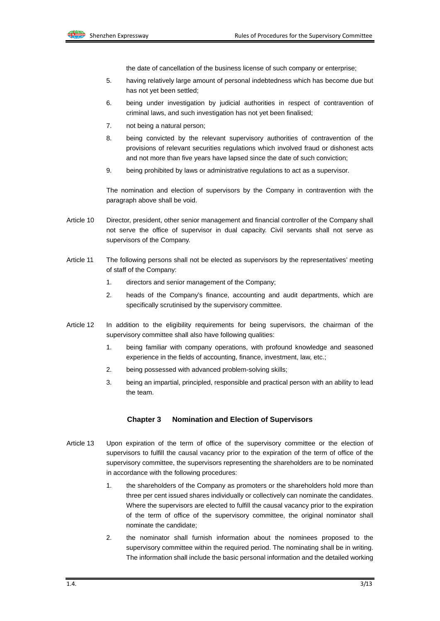the date of cancellation of the business license of such company or enterprise;

- 5. having relatively large amount of personal indebtedness which has become due but has not yet been settled;
- 6. being under investigation by judicial authorities in respect of contravention of criminal laws, and such investigation has not yet been finalised;
- 7. not being a natural person;
- 8. being convicted by the relevant supervisory authorities of contravention of the provisions of relevant securities regulations which involved fraud or dishonest acts and not more than five years have lapsed since the date of such conviction;
- 9. being prohibited by laws or administrative regulations to act as a supervisor.

The nomination and election of supervisors by the Company in contravention with the paragraph above shall be void.

- Article 10 Director, president, other senior management and financial controller of the Company shall not serve the office of supervisor in dual capacity. Civil servants shall not serve as supervisors of the Company.
- Article 11 The following persons shall not be elected as supervisors by the representatives' meeting of staff of the Company:
	- 1. directors and senior management of the Company;
	- 2. heads of the Company's finance, accounting and audit departments, which are specifically scrutinised by the supervisory committee.
- Article 12 In addition to the eligibility requirements for being supervisors, the chairman of the supervisory committee shall also have following qualities:
	- 1. being familiar with company operations, with profound knowledge and seasoned experience in the fields of accounting, finance, investment, law, etc.;
	- 2. being possessed with advanced problem-solving skills;
	- 3. being an impartial, principled, responsible and practical person with an ability to lead the team.

# **Chapter 3 Nomination and Election of Supervisors**

- Article 13 Upon expiration of the term of office of the supervisory committee or the election of supervisors to fulfill the causal vacancy prior to the expiration of the term of office of the supervisory committee, the supervisors representing the shareholders are to be nominated in accordance with the following procedures:
	- 1. the shareholders of the Company as promoters or the shareholders hold more than three per cent issued shares individually or collectively can nominate the candidates. Where the supervisors are elected to fulfill the causal vacancy prior to the expiration of the term of office of the supervisory committee, the original nominator shall nominate the candidate;
	- 2. the nominator shall furnish information about the nominees proposed to the supervisory committee within the required period. The nominating shall be in writing. The information shall include the basic personal information and the detailed working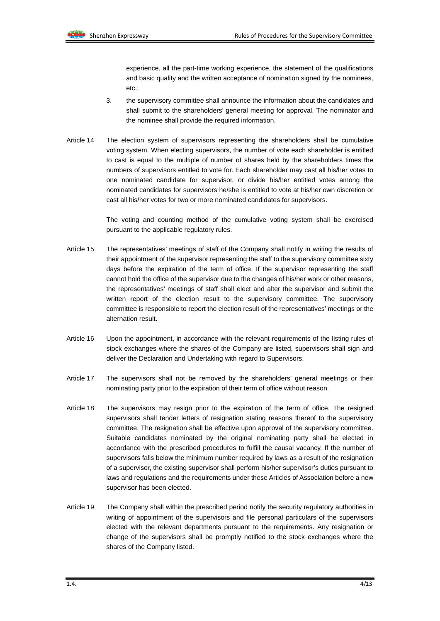experience, all the part-time working experience, the statement of the qualifications and basic quality and the written acceptance of nomination signed by the nominees, etc.;

- 3. the supervisory committee shall announce the information about the candidates and shall submit to the shareholders' general meeting for approval. The nominator and the nominee shall provide the required information.
- Article 14 The election system of supervisors representing the shareholders shall be cumulative voting system. When electing supervisors, the number of vote each shareholder is entitled to cast is equal to the multiple of number of shares held by the shareholders times the numbers of supervisors entitled to vote for. Each shareholder may cast all his/her votes to one nominated candidate for supervisor, or divide his/her entitled votes among the nominated candidates for supervisors he/she is entitled to vote at his/her own discretion or cast all his/her votes for two or more nominated candidates for supervisors.

The voting and counting method of the cumulative voting system shall be exercised pursuant to the applicable regulatory rules.

- Article 15 The representatives' meetings of staff of the Company shall notify in writing the results of their appointment of the supervisor representing the staff to the supervisory committee sixty days before the expiration of the term of office. If the supervisor representing the staff cannot hold the office of the supervisor due to the changes of his/her work or other reasons, the representatives' meetings of staff shall elect and alter the supervisor and submit the written report of the election result to the supervisory committee. The supervisory committee is responsible to report the election result of the representatives' meetings or the alternation result.
- Article 16 Upon the appointment, in accordance with the relevant requirements of the listing rules of stock exchanges where the shares of the Company are listed, supervisors shall sign and deliver the Declaration and Undertaking with regard to Supervisors.
- Article 17 The supervisors shall not be removed by the shareholders' general meetings or their nominating party prior to the expiration of their term of office without reason.
- Article 18 The supervisors may resign prior to the expiration of the term of office. The resigned supervisors shall tender letters of resignation stating reasons thereof to the supervisory committee. The resignation shall be effective upon approval of the supervisory committee. Suitable candidates nominated by the original nominating party shall be elected in accordance with the prescribed procedures to fulfill the causal vacancy. If the number of supervisors falls below the minimum number required by laws as a result of the resignation of a supervisor, the existing supervisor shall perform his/her supervisor's duties pursuant to laws and regulations and the requirements under these Articles of Association before a new supervisor has been elected.
- Article 19 The Company shall within the prescribed period notify the security regulatory authorities in writing of appointment of the supervisors and file personal particulars of the supervisors elected with the relevant departments pursuant to the requirements. Any resignation or change of the supervisors shall be promptly notified to the stock exchanges where the shares of the Company listed.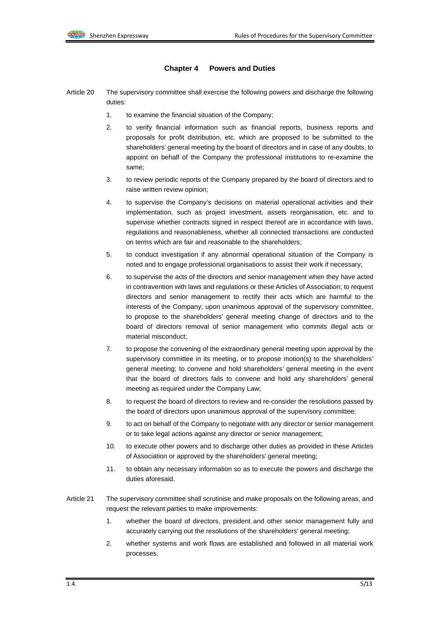# **Chapter 4 Powers and Duties**

- Article 20 The supervisory committee shall exercise the following powers and discharge the following duties:
	- 1. to examine the financial situation of the Company;
	- 2. to verify financial information such as financial reports, business reports and proposals for profit distribution, etc. which are proposed to be submitted to the shareholders' general meeting by the board of directors and in case of any doubts, to appoint on behalf of the Company the professional institutions to re-examine the same;
	- 3. to review periodic reports of the Company prepared by the board of directors and to raise written review opinion;
	- 4. to supervise the Company's decisions on material operational activities and their implementation, such as project investment, assets reorganisation, etc. and to supervise whether contracts signed in respect thereof are in accordance with laws, regulations and reasonableness, whether all connected transactions are conducted on terms which are fair and reasonable to the shareholders;
	- 5. to conduct investigation if any abnormal operational situation of the Company is noted and to engage professional organisations to assist their work if necessary;
	- 6. to supervise the acts of the directors and senior management when they have acted in contravention with laws and regulations or these Articles of Association; to request directors and senior management to rectify their acts which are harmful to the interests of the Company; upon unanimous approval of the supervisory committee, to propose to the shareholders' general meeting change of directors and to the board of directors removal of senior management who commits illegal acts or material misconduct;
	- 7. to propose the convening of the extraordinary general meeting upon approval by the supervisory committee in its meeting, or to propose motion(s) to the shareholders' general meeting; to convene and hold shareholders' general meeting in the event that the board of directors fails to convene and hold any shareholders' general meeting as required under the Company Law;
	- 8. to request the board of directors to review and re-consider the resolutions passed by the board of directors upon unanimous approval of the supervisory committee;
	- 9. to act on behalf of the Company to negotiate with any director or senior management or to take legal actions against any director or senior management;
	- 10. to execute other powers and to discharge other duties as provided in these Articles of Association or approved by the shareholders' general meeting;
	- 11. to obtain any necessary information so as to execute the powers and discharge the duties aforesaid.
- Article 21 The supervisory committee shall scrutinise and make proposals on the following areas, and request the relevant parties to make improvements:
	- 1. whether the board of directors, president and other senior management fully and accurately carrying out the resolutions of the shareholders' general meeting;
	- 2. whether systems and work flows are established and followed in all material work processes.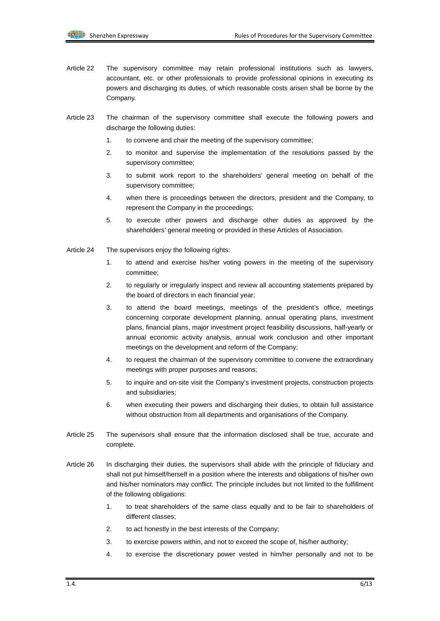- Article 22 The supervisory committee may retain professional institutions such as lawyers, accountant, etc. or other professionals to provide professional opinions in executing its powers and discharging its duties, of which reasonable costs arisen shall be borne by the Company.
- Article 23 The chairman of the supervisory committee shall execute the following powers and discharge the following duties:
	- 1. to convene and chair the meeting of the supervisory committee;
	- 2. to monitor and supervise the implementation of the resolutions passed by the supervisory committee;
	- 3. to submit work report to the shareholders' general meeting on behalf of the supervisory committee;
	- 4. when there is proceedings between the directors, president and the Company, to represent the Company in the proceedings;
	- 5. to execute other powers and discharge other duties as approved by the shareholders' general meeting or provided in these Articles of Association.
- Article 24 The supervisors enjoy the following rights:
	- 1. to attend and exercise his/her voting powers in the meeting of the supervisory committee;
	- 2. to regularly or irregularly inspect and review all accounting statements prepared by the board of directors in each financial year;
	- 3. to attend the board meetings, meetings of the president's office, meetings concerning corporate development planning, annual operating plans, investment plans, financial plans, major investment project feasibility discussions, half-yearly or annual economic activity analysis, annual work conclusion and other important meetings on the development and reform of the Company;
	- 4. to request the chairman of the supervisory committee to convene the extraordinary meetings with proper purposes and reasons;
	- 5. to inquire and on-site visit the Company's investment projects, construction projects and subsidiaries;
	- 6. when executing their powers and discharging their duties, to obtain full assistance without obstruction from all departments and organisations of the Company.
- Article 25 The supervisors shall ensure that the information disclosed shall be true, accurate and complete.
- Article 26 In discharging their duties, the supervisors shall abide with the principle of fiduciary and shall not put himself/herself in a position where the interests and obligations of his/her own and his/her nominators may conflict. The principle includes but not limited to the fulfillment of the following obligations:
	- 1. to treat shareholders of the same class equally and to be fair to shareholders of different classes;
	- 2. to act honestly in the best interests of the Company;
	- 3. to exercise powers within, and not to exceed the scope of, his/her authority;
	- 4. to exercise the discretionary power vested in him/her personally and not to be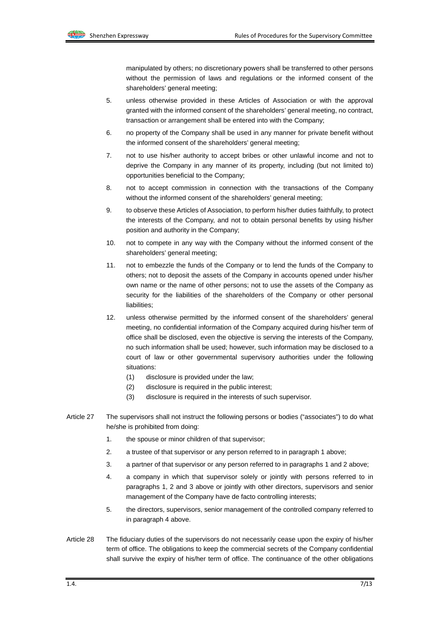manipulated by others; no discretionary powers shall be transferred to other persons without the permission of laws and regulations or the informed consent of the shareholders' general meeting;

- 5. unless otherwise provided in these Articles of Association or with the approval granted with the informed consent of the shareholders' general meeting, no contract, transaction or arrangement shall be entered into with the Company;
- 6. no property of the Company shall be used in any manner for private benefit without the informed consent of the shareholders' general meeting;
- 7. not to use his/her authority to accept bribes or other unlawful income and not to deprive the Company in any manner of its property, including (but not limited to) opportunities beneficial to the Company;
- 8. not to accept commission in connection with the transactions of the Company without the informed consent of the shareholders' general meeting;
- 9. to observe these Articles of Association, to perform his/her duties faithfully, to protect the interests of the Company, and not to obtain personal benefits by using his/her position and authority in the Company;
- 10. not to compete in any way with the Company without the informed consent of the shareholders' general meeting;
- 11. not to embezzle the funds of the Company or to lend the funds of the Company to others; not to deposit the assets of the Company in accounts opened under his/her own name or the name of other persons; not to use the assets of the Company as security for the liabilities of the shareholders of the Company or other personal liabilities;
- 12. unless otherwise permitted by the informed consent of the shareholders' general meeting, no confidential information of the Company acquired during his/her term of office shall be disclosed, even the objective is serving the interests of the Company, no such information shall be used; however, such information may be disclosed to a court of law or other governmental supervisory authorities under the following situations:
	- (1) disclosure is provided under the law;
	- (2) disclosure is required in the public interest;
	- (3) disclosure is required in the interests of such supervisor.
- Article 27 The supervisors shall not instruct the following persons or bodies ("associates") to do what he/she is prohibited from doing:
	- 1. the spouse or minor children of that supervisor;
	- 2. a trustee of that supervisor or any person referred to in paragraph 1 above;
	- 3. a partner of that supervisor or any person referred to in paragraphs 1 and 2 above;
	- 4. a company in which that supervisor solely or jointly with persons referred to in paragraphs 1, 2 and 3 above or jointly with other directors, supervisors and senior management of the Company have de facto controlling interests;
	- 5. the directors, supervisors, senior management of the controlled company referred to in paragraph 4 above.
- Article 28 The fiduciary duties of the supervisors do not necessarily cease upon the expiry of his/her term of office. The obligations to keep the commercial secrets of the Company confidential shall survive the expiry of his/her term of office. The continuance of the other obligations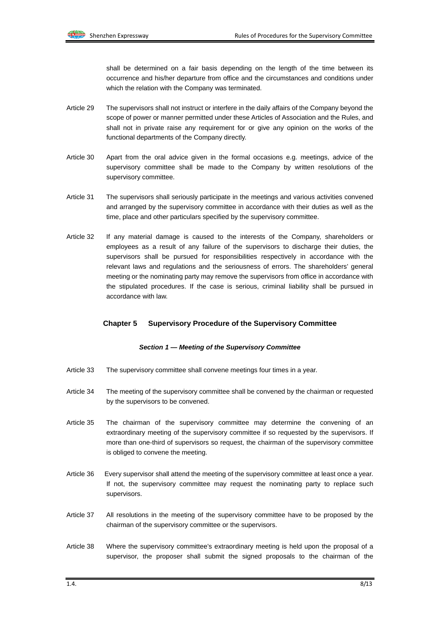shall be determined on a fair basis depending on the length of the time between its occurrence and his/her departure from office and the circumstances and conditions under which the relation with the Company was terminated.

- Article 29 The supervisors shall not instruct or interfere in the daily affairs of the Company beyond the scope of power or manner permitted under these Articles of Association and the Rules, and shall not in private raise any requirement for or give any opinion on the works of the functional departments of the Company directly.
- Article 30 Apart from the oral advice given in the formal occasions e.g. meetings, advice of the supervisory committee shall be made to the Company by written resolutions of the supervisory committee.
- Article 31 The supervisors shall seriously participate in the meetings and various activities convened and arranged by the supervisory committee in accordance with their duties as well as the time, place and other particulars specified by the supervisory committee.
- Article 32 If any material damage is caused to the interests of the Company, shareholders or employees as a result of any failure of the supervisors to discharge their duties, the supervisors shall be pursued for responsibilities respectively in accordance with the relevant laws and regulations and the seriousness of errors. The shareholders' general meeting or the nominating party may remove the supervisors from office in accordance with the stipulated procedures. If the case is serious, criminal liability shall be pursued in accordance with law.

#### **Chapter 5 Supervisory Procedure of the Supervisory Committee**

#### *Section 1 — Meeting of the Supervisory Committee*

- Article 33 The supervisory committee shall convene meetings four times in a year.
- Article 34 The meeting of the supervisory committee shall be convened by the chairman or requested by the supervisors to be convened.
- Article 35 The chairman of the supervisory committee may determine the convening of an extraordinary meeting of the supervisory committee if so requested by the supervisors. If more than one-third of supervisors so request, the chairman of the supervisory committee is obliged to convene the meeting.
- Article 36 Every supervisor shall attend the meeting of the supervisory committee at least once a year. If not, the supervisory committee may request the nominating party to replace such supervisors.
- Article 37 All resolutions in the meeting of the supervisory committee have to be proposed by the chairman of the supervisory committee or the supervisors.
- Article 38 Where the supervisory committee's extraordinary meeting is held upon the proposal of a supervisor, the proposer shall submit the signed proposals to the chairman of the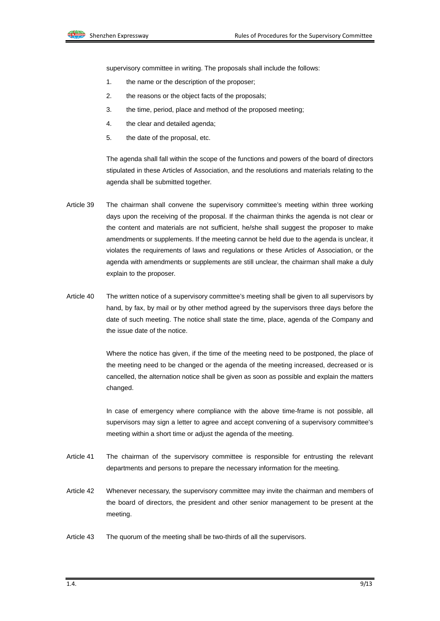supervisory committee in writing. The proposals shall include the follows:

- 1. the name or the description of the proposer;
- 2. the reasons or the object facts of the proposals;
- 3. the time, period, place and method of the proposed meeting;
- 4. the clear and detailed agenda;
- 5. the date of the proposal, etc.

The agenda shall fall within the scope of the functions and powers of the board of directors stipulated in these Articles of Association, and the resolutions and materials relating to the agenda shall be submitted together.

- Article 39 The chairman shall convene the supervisory committee's meeting within three working days upon the receiving of the proposal. If the chairman thinks the agenda is not clear or the content and materials are not sufficient, he/she shall suggest the proposer to make amendments or supplements. If the meeting cannot be held due to the agenda is unclear, it violates the requirements of laws and regulations or these Articles of Association, or the agenda with amendments or supplements are still unclear, the chairman shall make a duly explain to the proposer.
- Article 40 The written notice of a supervisory committee's meeting shall be given to all supervisors by hand, by fax, by mail or by other method agreed by the supervisors three days before the date of such meeting. The notice shall state the time, place, agenda of the Company and the issue date of the notice.

Where the notice has given, if the time of the meeting need to be postponed, the place of the meeting need to be changed or the agenda of the meeting increased, decreased or is cancelled, the alternation notice shall be given as soon as possible and explain the matters changed.

In case of emergency where compliance with the above time-frame is not possible, all supervisors may sign a letter to agree and accept convening of a supervisory committee's meeting within a short time or adjust the agenda of the meeting.

- Article 41 The chairman of the supervisory committee is responsible for entrusting the relevant departments and persons to prepare the necessary information for the meeting.
- Article 42 Whenever necessary, the supervisory committee may invite the chairman and members of the board of directors, the president and other senior management to be present at the meeting.
- Article 43 The quorum of the meeting shall be two-thirds of all the supervisors.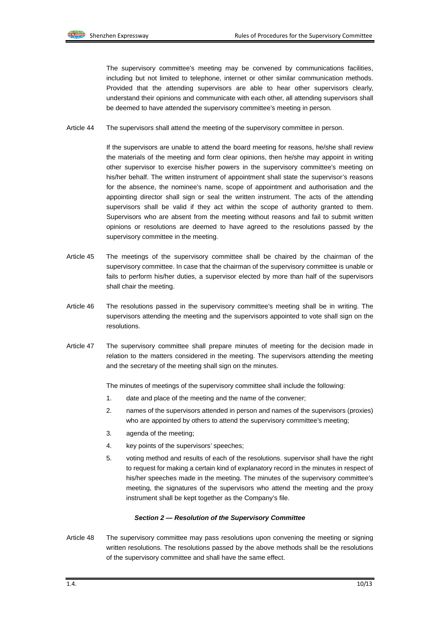The supervisory committee's meeting may be convened by communications facilities, including but not limited to telephone, internet or other similar communication methods. Provided that the attending supervisors are able to hear other supervisors clearly, understand their opinions and communicate with each other, all attending supervisors shall be deemed to have attended the supervisory committee's meeting in person.

Article 44 The supervisors shall attend the meeting of the supervisory committee in person.

If the supervisors are unable to attend the board meeting for reasons, he/she shall review the materials of the meeting and form clear opinions, then he/she may appoint in writing other supervisor to exercise his/her powers in the supervisory committee's meeting on his/her behalf. The written instrument of appointment shall state the supervisor's reasons for the absence, the nominee's name, scope of appointment and authorisation and the appointing director shall sign or seal the written instrument. The acts of the attending supervisors shall be valid if they act within the scope of authority granted to them. Supervisors who are absent from the meeting without reasons and fail to submit written opinions or resolutions are deemed to have agreed to the resolutions passed by the supervisory committee in the meeting.

- Article 45 The meetings of the supervisory committee shall be chaired by the chairman of the supervisory committee. In case that the chairman of the supervisory committee is unable or fails to perform his/her duties, a supervisor elected by more than half of the supervisors shall chair the meeting.
- Article 46 The resolutions passed in the supervisory committee's meeting shall be in writing. The supervisors attending the meeting and the supervisors appointed to vote shall sign on the resolutions.
- Article 47 The supervisory committee shall prepare minutes of meeting for the decision made in relation to the matters considered in the meeting. The supervisors attending the meeting and the secretary of the meeting shall sign on the minutes.

The minutes of meetings of the supervisory committee shall include the following:

- 1. date and place of the meeting and the name of the convener;
- 2. names of the supervisors attended in person and names of the supervisors (proxies) who are appointed by others to attend the supervisory committee's meeting;
- 3. agenda of the meeting;
- 4. key points of the supervisors' speeches;
- 5. voting method and results of each of the resolutions. supervisor shall have the right to request for making a certain kind of explanatory record in the minutes in respect of his/her speeches made in the meeting. The minutes of the supervisory committee's meeting, the signatures of the supervisors who attend the meeting and the proxy instrument shall be kept together as the Company's file.

#### *Section 2 — Resolution of the Supervisory Committee*

Article 48 The supervisory committee may pass resolutions upon convening the meeting or signing written resolutions. The resolutions passed by the above methods shall be the resolutions of the supervisory committee and shall have the same effect.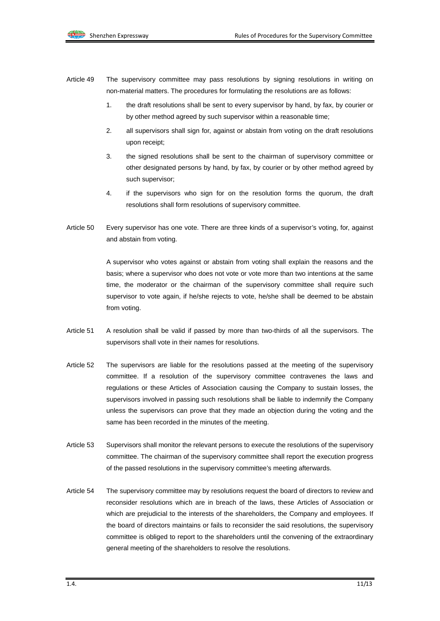- Article 49 The supervisory committee may pass resolutions by signing resolutions in writing on non-material matters. The procedures for formulating the resolutions are as follows:
	- 1. the draft resolutions shall be sent to every supervisor by hand, by fax, by courier or by other method agreed by such supervisor within a reasonable time;
	- 2. all supervisors shall sign for, against or abstain from voting on the draft resolutions upon receipt;
	- 3. the signed resolutions shall be sent to the chairman of supervisory committee or other designated persons by hand, by fax, by courier or by other method agreed by such supervisor;
	- 4. if the supervisors who sign for on the resolution forms the quorum, the draft resolutions shall form resolutions of supervisory committee.
- Article 50 Every supervisor has one vote. There are three kinds of a supervisor's voting, for, against and abstain from voting.

A supervisor who votes against or abstain from voting shall explain the reasons and the basis; where a supervisor who does not vote or vote more than two intentions at the same time, the moderator or the chairman of the supervisory committee shall require such supervisor to vote again, if he/she rejects to vote, he/she shall be deemed to be abstain from voting.

- Article 51 A resolution shall be valid if passed by more than two-thirds of all the supervisors. The supervisors shall vote in their names for resolutions.
- Article 52 The supervisors are liable for the resolutions passed at the meeting of the supervisory committee. If a resolution of the supervisory committee contravenes the laws and regulations or these Articles of Association causing the Company to sustain losses, the supervisors involved in passing such resolutions shall be liable to indemnify the Company unless the supervisors can prove that they made an objection during the voting and the same has been recorded in the minutes of the meeting.
- Article 53 Supervisors shall monitor the relevant persons to execute the resolutions of the supervisory committee. The chairman of the supervisory committee shall report the execution progress of the passed resolutions in the supervisory committee's meeting afterwards.
- Article 54 The supervisory committee may by resolutions request the board of directors to review and reconsider resolutions which are in breach of the laws, these Articles of Association or which are prejudicial to the interests of the shareholders, the Company and employees. If the board of directors maintains or fails to reconsider the said resolutions, the supervisory committee is obliged to report to the shareholders until the convening of the extraordinary general meeting of the shareholders to resolve the resolutions.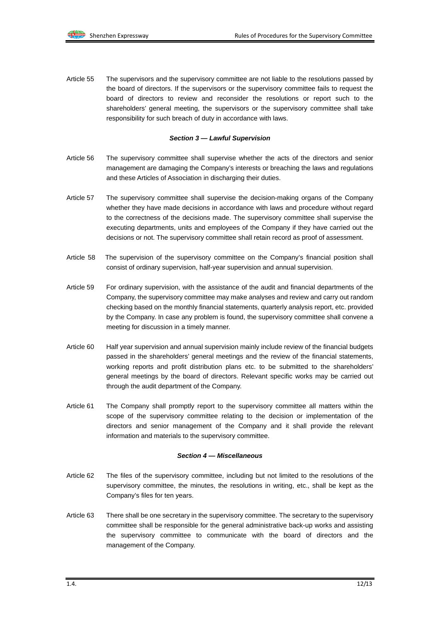Article 55 The supervisors and the supervisory committee are not liable to the resolutions passed by the board of directors. If the supervisors or the supervisory committee fails to request the board of directors to review and reconsider the resolutions or report such to the shareholders' general meeting, the supervisors or the supervisory committee shall take responsibility for such breach of duty in accordance with laws.

#### *Section 3 — Lawful Supervision*

- Article 56 The supervisory committee shall supervise whether the acts of the directors and senior management are damaging the Company's interests or breaching the laws and regulations and these Articles of Association in discharging their duties.
- Article 57 The supervisory committee shall supervise the decision-making organs of the Company whether they have made decisions in accordance with laws and procedure without regard to the correctness of the decisions made. The supervisory committee shall supervise the executing departments, units and employees of the Company if they have carried out the decisions or not. The supervisory committee shall retain record as proof of assessment.
- Article 58 The supervision of the supervisory committee on the Company's financial position shall consist of ordinary supervision, half-year supervision and annual supervision.
- Article 59 For ordinary supervision, with the assistance of the audit and financial departments of the Company, the supervisory committee may make analyses and review and carry out random checking based on the monthly financial statements, quarterly analysis report, etc. provided by the Company. In case any problem is found, the supervisory committee shall convene a meeting for discussion in a timely manner.
- Article 60 Half year supervision and annual supervision mainly include review of the financial budgets passed in the shareholders' general meetings and the review of the financial statements, working reports and profit distribution plans etc. to be submitted to the shareholders' general meetings by the board of directors. Relevant specific works may be carried out through the audit department of the Company.
- Article 61 The Company shall promptly report to the supervisory committee all matters within the scope of the supervisory committee relating to the decision or implementation of the directors and senior management of the Company and it shall provide the relevant information and materials to the supervisory committee.

#### *Section 4 — Miscellaneous*

- Article 62 The files of the supervisory committee, including but not limited to the resolutions of the supervisory committee, the minutes, the resolutions in writing, etc., shall be kept as the Company's files for ten years.
- Article 63 There shall be one secretary in the supervisory committee. The secretary to the supervisory committee shall be responsible for the general administrative back-up works and assisting the supervisory committee to communicate with the board of directors and the management of the Company.